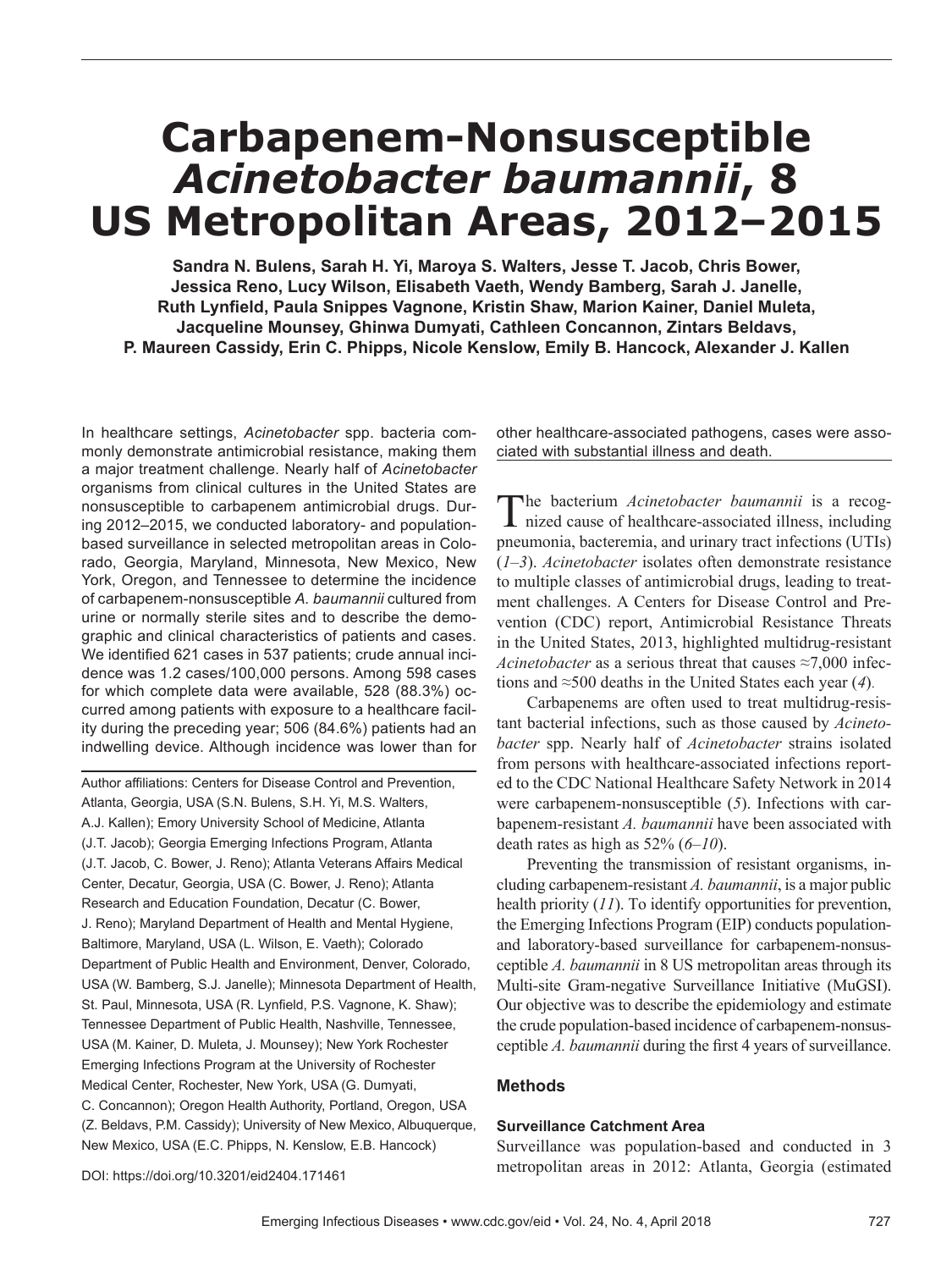# **Carbapenem-Nonsusceptible**  *Acinetobacter baumannii***, 8 US Metropolitan Areas, 2012–2015**

**Sandra N. Bulens, Sarah H. Yi, Maroya S. Walters, Jesse T. Jacob, Chris Bower, Jessica Reno, Lucy Wilson, Elisabeth Vaeth, Wendy Bamberg, Sarah J. Janelle, Ruth Lynfield, Paula Snippes Vagnone, Kristin Shaw, Marion Kainer, Daniel Muleta, Jacqueline Mounsey, Ghinwa Dumyati, Cathleen Concannon, Zintars Beldavs, P. Maureen Cassidy, Erin C. Phipps, Nicole Kenslow, Emily B. Hancock, Alexander J. Kallen**

In healthcare settings, *Acinetobacter* spp. bacteria commonly demonstrate antimicrobial resistance, making them a major treatment challenge. Nearly half of *Acinetobacter* organisms from clinical cultures in the United States are nonsusceptible to carbapenem antimicrobial drugs. During 2012–2015, we conducted laboratory- and populationbased surveillance in selected metropolitan areas in Colorado, Georgia, Maryland, Minnesota, New Mexico, New York, Oregon, and Tennessee to determine the incidence of carbapenem-nonsusceptible *A. baumannii* cultured from urine or normally sterile sites and to describe the demographic and clinical characteristics of patients and cases. We identified 621 cases in 537 patients; crude annual incidence was 1.2 cases/100,000 persons. Among 598 cases for which complete data were available, 528 (88.3%) occurred among patients with exposure to a healthcare facility during the preceding year; 506 (84.6%) patients had an indwelling device. Although incidence was lower than for

Author affiliations: Centers for Disease Control and Prevention, Atlanta, Georgia, USA (S.N. Bulens, S.H. Yi, M.S. Walters, A.J. Kallen); Emory University School of Medicine, Atlanta (J.T. Jacob); Georgia Emerging Infections Program, Atlanta (J.T. Jacob, C. Bower, J. Reno); Atlanta Veterans Affairs Medical Center, Decatur, Georgia, USA (C. Bower, J. Reno); Atlanta Research and Education Foundation, Decatur (C. Bower, J. Reno); Maryland Department of Health and Mental Hygiene, Baltimore, Maryland, USA (L. Wilson, E. Vaeth); Colorado Department of Public Health and Environment, Denver, Colorado, USA (W. Bamberg, S.J. Janelle); Minnesota Department of Health, St. Paul, Minnesota, USA (R. Lynfield, P.S. Vagnone, K. Shaw); Tennessee Department of Public Health, Nashville, Tennessee, USA (M. Kainer, D. Muleta, J. Mounsey); New York Rochester Emerging Infections Program at the University of Rochester Medical Center, Rochester, New York, USA (G. Dumyati, C. Concannon); Oregon Health Authority, Portland, Oregon, USA (Z. Beldavs, P.M. Cassidy); University of New Mexico, Albuquerque, New Mexico, USA (E.C. Phipps, N. Kenslow, E.B. Hancock)

other healthcare-associated pathogens, cases were associated with substantial illness and death.

The bacterium *Acinetobacter baumannii* is a recognized cause of healthcare-associated illness, including pneumonia, bacteremia, and urinary tract infections (UTIs) (*1*–*3*). *Acinetobacter* isolates often demonstrate resistance to multiple classes of antimicrobial drugs, leading to treatment challenges. A Centers for Disease Control and Prevention (CDC) report, Antimicrobial Resistance Threats in the United States, 2013, highlighted multidrug-resistant *Acinetobacter* as a serious threat that causes ≈7,000 infections and ≈500 deaths in the United States each year (*4*).

Carbapenems are often used to treat multidrug-resistant bacterial infections, such as those caused by *Acinetobacter* spp. Nearly half of *Acinetobacter* strains isolated from persons with healthcare-associated infections reported to the CDC National Healthcare Safety Network in 2014 were carbapenem-nonsusceptible (*5*). Infections with carbapenem-resistant *A. baumannii* have been associated with death rates as high as 52% (*6*–*10*).

Preventing the transmission of resistant organisms, including carbapenem-resistant *A. baumannii*, is a major public health priority (*11*). To identify opportunities for prevention, the Emerging Infections Program (EIP) conducts populationand laboratory-based surveillance for carbapenem-nonsusceptible *A. baumannii* in 8 US metropolitan areas through its Multi-site Gram-negative Surveillance Initiative (MuGSI). Our objective was to describe the epidemiology and estimate the crude population-based incidence of carbapenem-nonsusceptible *A. baumannii* during the first 4 years of surveillance.

# **Methods**

#### **Surveillance Catchment Area**

Surveillance was population-based and conducted in 3 metropolitan areas in 2012: Atlanta, Georgia (estimated

DOI: https://doi.org/10.3201/eid2404.171461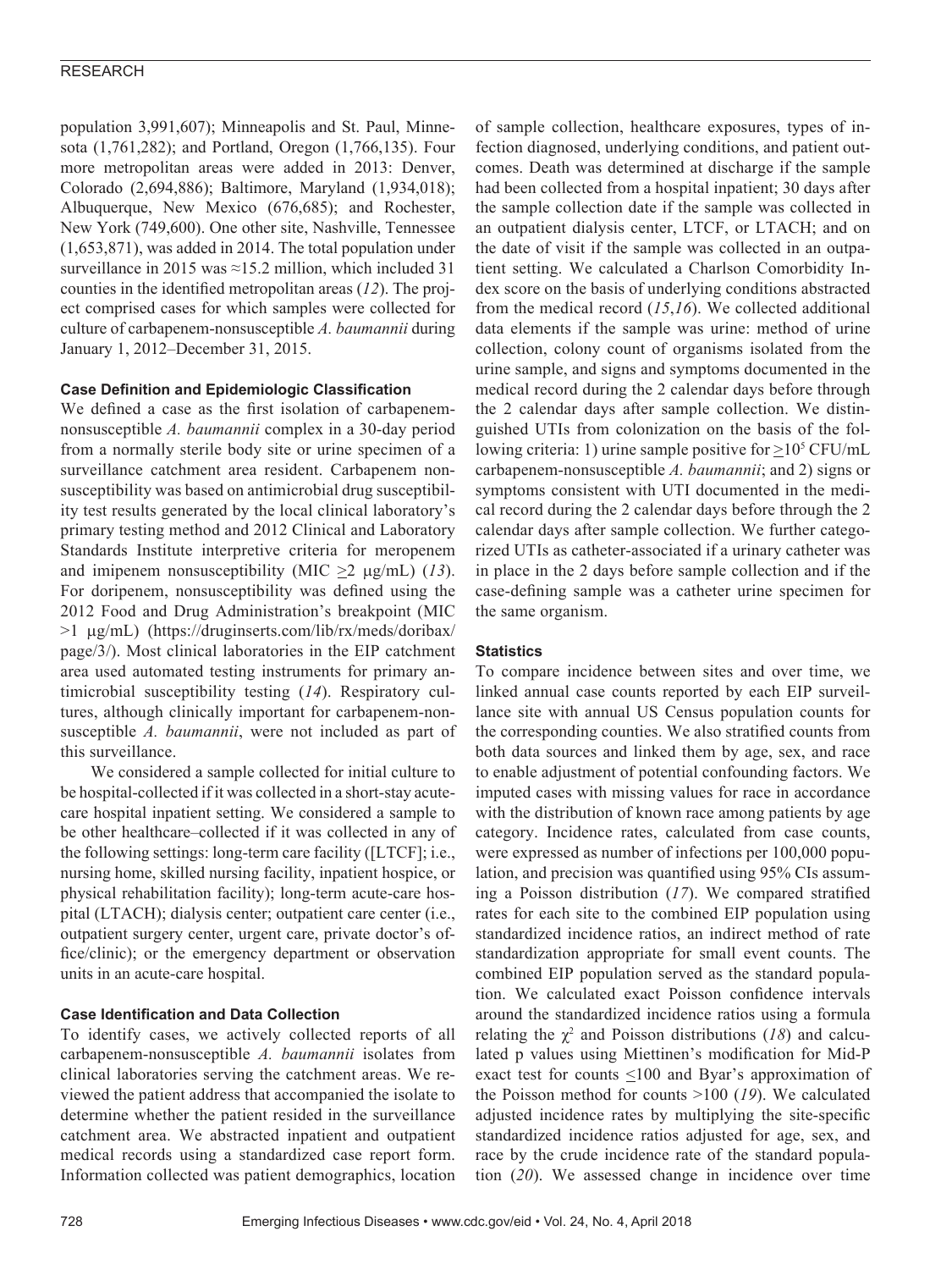population 3,991,607); Minneapolis and St. Paul, Minnesota (1,761,282); and Portland, Oregon (1,766,135). Four more metropolitan areas were added in 2013: Denver, Colorado (2,694,886); Baltimore, Maryland (1,934,018); Albuquerque, New Mexico (676,685); and Rochester, New York (749,600). One other site, Nashville, Tennessee (1,653,871), was added in 2014. The total population under surveillance in 2015 was  $\approx$ 15.2 million, which included 31 counties in the identified metropolitan areas (*12*). The project comprised cases for which samples were collected for culture of carbapenem-nonsusceptible *A. baumannii* during January 1, 2012–December 31, 2015.

# **Case Definition and Epidemiologic Classification**

We defined a case as the first isolation of carbapenemnonsusceptible *A. baumannii* complex in a 30-day period from a normally sterile body site or urine specimen of a surveillance catchment area resident. Carbapenem nonsusceptibility was based on antimicrobial drug susceptibility test results generated by the local clinical laboratory's primary testing method and 2012 Clinical and Laboratory Standards Institute interpretive criteria for meropenem and imipenem nonsusceptibility (MIC >2 µg/mL) (*13*). For doripenem, nonsusceptibility was defined using the 2012 Food and Drug Administration's breakpoint (MIC >1 µg/mL) (https://druginserts.com/lib/rx/meds/doribax/ page/3/). Most clinical laboratories in the EIP catchment area used automated testing instruments for primary antimicrobial susceptibility testing (*14*). Respiratory cultures, although clinically important for carbapenem-nonsusceptible *A. baumannii*, were not included as part of this surveillance.

We considered a sample collected for initial culture to be hospital-collected if it was collected in a short-stay acutecare hospital inpatient setting. We considered a sample to be other healthcare–collected if it was collected in any of the following settings: long-term care facility ([LTCF]; i.e., nursing home, skilled nursing facility, inpatient hospice, or physical rehabilitation facility); long-term acute-care hospital (LTACH); dialysis center; outpatient care center (i.e., outpatient surgery center, urgent care, private doctor's office/clinic); or the emergency department or observation units in an acute-care hospital.

# **Case Identification and Data Collection**

To identify cases, we actively collected reports of all carbapenem-nonsusceptible *A. baumannii* isolates from clinical laboratories serving the catchment areas. We reviewed the patient address that accompanied the isolate to determine whether the patient resided in the surveillance catchment area. We abstracted inpatient and outpatient medical records using a standardized case report form. Information collected was patient demographics, location

of sample collection, healthcare exposures, types of infection diagnosed, underlying conditions, and patient outcomes. Death was determined at discharge if the sample had been collected from a hospital inpatient; 30 days after the sample collection date if the sample was collected in an outpatient dialysis center, LTCF, or LTACH; and on the date of visit if the sample was collected in an outpatient setting. We calculated a Charlson Comorbidity Index score on the basis of underlying conditions abstracted from the medical record (*15*,*16*). We collected additional data elements if the sample was urine: method of urine collection, colony count of organisms isolated from the urine sample, and signs and symptoms documented in the medical record during the 2 calendar days before through the 2 calendar days after sample collection. We distinguished UTIs from colonization on the basis of the following criteria: 1) urine sample positive for  $\geq$ 10<sup>5</sup> CFU/mL carbapenem-nonsusceptible *A. baumannii*; and 2) signs or symptoms consistent with UTI documented in the medical record during the 2 calendar days before through the 2 calendar days after sample collection. We further categorized UTIs as catheter-associated if a urinary catheter was in place in the 2 days before sample collection and if the case-defining sample was a catheter urine specimen for the same organism.

# **Statistics**

To compare incidence between sites and over time, we linked annual case counts reported by each EIP surveillance site with annual US Census population counts for the corresponding counties. We also stratified counts from both data sources and linked them by age, sex, and race to enable adjustment of potential confounding factors. We imputed cases with missing values for race in accordance with the distribution of known race among patients by age category. Incidence rates, calculated from case counts, were expressed as number of infections per 100,000 population, and precision was quantified using 95% CIs assuming a Poisson distribution (*17*). We compared stratified rates for each site to the combined EIP population using standardized incidence ratios, an indirect method of rate standardization appropriate for small event counts. The combined EIP population served as the standard population. We calculated exact Poisson confidence intervals around the standardized incidence ratios using a formula relating the  $\chi^2$  and Poisson distributions (18) and calculated p values using Miettinen's modification for Mid-P exact test for counts  $\leq 100$  and Byar's approximation of the Poisson method for counts >100 (*19*). We calculated adjusted incidence rates by multiplying the site-specific standardized incidence ratios adjusted for age, sex, and race by the crude incidence rate of the standard population (*20*). We assessed change in incidence over time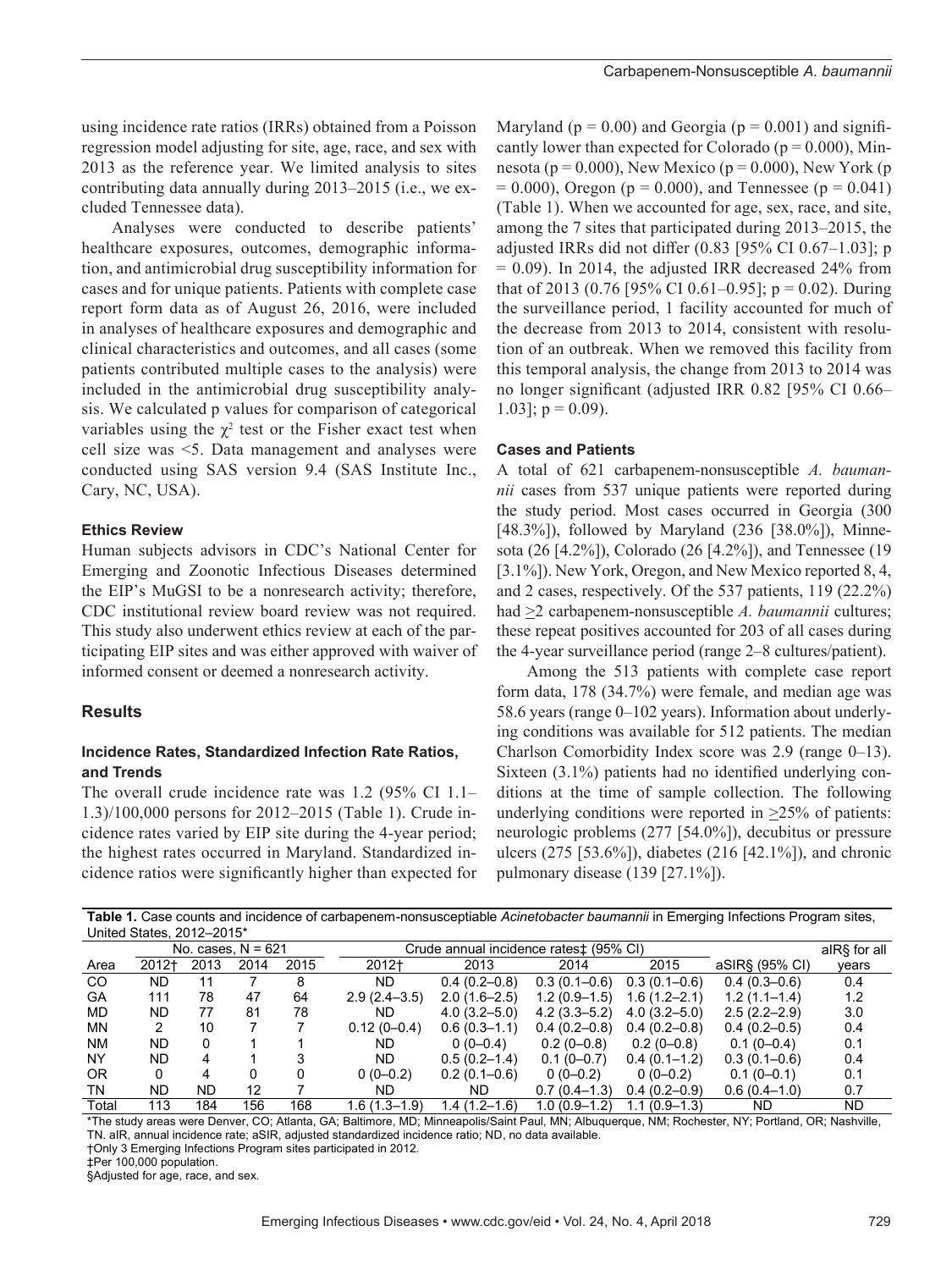using incidence rate ratios (IRRs) obtained from a Poisson regression model adjusting for site, age, race, and sex with 2013 as the reference year. We limited analysis to sites contributing data annually during 2013–2015 (i.e., we excluded Tennessee data).

Analyses were conducted to describe patients' healthcare exposures, outcomes, demographic information, and antimicrobial drug susceptibility information for cases and for unique patients. Patients with complete case report form data as of August 26, 2016, were included in analyses of healthcare exposures and demographic and clinical characteristics and outcomes, and all cases (some patients contributed multiple cases to the analysis) were included in the antimicrobial drug susceptibility analysis. We calculated p values for comparison of categorical variables using the  $\chi^2$  test or the Fisher exact test when cell size was <5. Data management and analyses were conducted using SAS version 9.4 (SAS Institute Inc., Cary, NC, USA).

#### **Ethics Review**

Human subjects advisors in CDC's National Center for Emerging and Zoonotic Infectious Diseases determined the EIP's MuGSI to be a nonresearch activity; therefore, CDC institutional review board review was not required. This study also underwent ethics review at each of the participating EIP sites and was either approved with waiver of informed consent or deemed a nonresearch activity.

# **Results**

# **Incidence Rates, Standardized Infection Rate Ratios, and Trends**

The overall crude incidence rate was 1.2 (95% CI 1.1– 1.3)/100,000 persons for 2012–2015 (Table 1). Crude incidence rates varied by EIP site during the 4-year period; the highest rates occurred in Maryland. Standardized incidence ratios were significantly higher than expected for

Maryland ( $p = 0.00$ ) and Georgia ( $p = 0.001$ ) and significantly lower than expected for Colorado ( $p = 0.000$ ), Minnesota ( $p = 0.000$ ), New Mexico ( $p = 0.000$ ), New York ( $p$  $= 0.000$ ), Oregon (p = 0.000), and Tennessee (p = 0.041) (Table 1). When we accounted for age, sex, race, and site, among the 7 sites that participated during 2013–2015, the adjusted IRRs did not differ (0.83 [95% CI 0.67–1.03]; p  $= 0.09$ ). In 2014, the adjusted IRR decreased 24% from that of 2013 (0.76 [95% CI 0.61–0.95];  $p = 0.02$ ). During the surveillance period, 1 facility accounted for much of the decrease from 2013 to 2014, consistent with resolution of an outbreak. When we removed this facility from this temporal analysis, the change from 2013 to 2014 was no longer significant (adjusted IRR 0.82 [95% CI 0.66– 1.03];  $p = 0.09$ ).

# **Cases and Patients**

A total of 621 carbapenem-nonsusceptible *A. baumannii* cases from 537 unique patients were reported during the study period. Most cases occurred in Georgia (300 [48.3%]), followed by Maryland (236 [38.0%]), Minnesota (26 [4.2%]), Colorado (26 [4.2%]), and Tennessee (19 [3.1%]). New York, Oregon, and New Mexico reported 8, 4, and 2 cases, respectively. Of the 537 patients, 119 (22.2%) had  $\geq$ 2 carbapenem-nonsusceptible *A. baumannii* cultures; these repeat positives accounted for 203 of all cases during the 4-year surveillance period (range 2–8 cultures/patient).

Among the 513 patients with complete case report form data, 178 (34.7%) were female, and median age was 58.6 years (range 0–102 years). Information about underlying conditions was available for 512 patients. The median Charlson Comorbidity Index score was 2.9 (range 0–13). Sixteen (3.1%) patients had no identified underlying conditions at the time of sample collection. The following underlying conditions were reported in  $\geq$ 25% of patients: neurologic problems (277 [54.0%]), decubitus or pressure ulcers (275 [53.6%]), diabetes (216 [42.1%]), and chronic pulmonary disease (139 [27.1%]).

| Table 1. Case counts and incidence of carbapenem-nonsusceptiable Acinetobacter baumannii in Emerging Infections Program sites, |  |
|--------------------------------------------------------------------------------------------------------------------------------|--|
| United States, 2012-2015*                                                                                                      |  |

|               | No. cases, $N = 621$ |      |      |      | Crude annual incidence rates <sup>±</sup> (95% CI) |                  |                  |                  |                  | alR§ for all |
|---------------|----------------------|------|------|------|----------------------------------------------------|------------------|------------------|------------------|------------------|--------------|
| Area          | 2012†                | 2013 | 2014 | 2015 | 2012+                                              | 2013             | 2014             | 2015             | aSIR§ (95% CI)   | years        |
| <sub>CO</sub> | ND                   | 11   |      | 8    | ND.                                                | $0.4(0.2-0.8)$   | $0.3(0.1 - 0.6)$ | $0.3(0.1 - 0.6)$ | $0.4(0.3-0.6)$   | 0.4          |
| GA            | 111                  | 78   | 47   | 64   | $2.9(2.4 - 3.5)$                                   | $2.0(1.6-2.5)$   | $1.2(0.9-1.5)$   | $1.6(1.2 - 2.1)$ | $1.2(1.1 - 1.4)$ | 1.2          |
| <b>MD</b>     | ND                   | 77   | 81   | 78   | ND.                                                | $4.0(3.2 - 5.0)$ | $4.2(3.3 - 5.2)$ | $4.0(3.2 - 5.0)$ | $2.5(2.2 - 2.9)$ | 3.0          |
| <b>MN</b>     | 2                    | 10   |      |      | $0.12(0-0.4)$                                      | $0.6(0.3-1.1)$   | $0.4(0.2 - 0.8)$ | $0.4(0.2-0.8)$   | $0.4(0.2-0.5)$   | 0.4          |
| <b>NM</b>     | ND                   |      |      |      | ND.                                                | $0(0-0.4)$       | $0.2(0-0.8)$     | $0.2(0-0.8)$     | $0.1(0-0.4)$     | 0.1          |
| <b>NY</b>     | ND                   | 4    |      |      | ND.                                                | $0.5(0.2 - 1.4)$ | $0.1(0-0.7)$     | $0.4(0.1-1.2)$   | $0.3(0.1 - 0.6)$ | 0.4          |
| 0R            | 0                    |      |      |      | $0(0-0.2)$                                         | $0.2(0.1-0.6)$   | $0(0-0.2)$       | $0(0-0.2)$       | $0.1(0-0.1)$     | 0.1          |
| TN            | ND                   | ND   | 12   |      | ND.                                                | ND.              | $0.7(0.4-1.3)$   | $0.4(0.2-0.9)$   | $0.6(0.4-1.0)$   | 0.7          |
| Total         | 113                  | 184  | 156  | 168  | 1.6 (1.3–1.9)                                      | 1.4 (1.2–1.6)    | $1.0(0.9-1.2)$   | $1.1(0.9-1.3)$   | ND.              | <b>ND</b>    |

\*The study areas were Denver, CO; Atlanta, GA; Baltimore, MD; Minneapolis/Saint Paul, MN; Albuquerque, NM; Rochester, NY; Portland, OR; Nashville, TN. aIR, annual incidence rate; aSIR, adjusted standardized incidence ratio; ND, no data available.

†Only 3 Emerging Infections Program sites participated in 2012.

‡Per 100,000 population.

§Adjusted for age, race, and sex.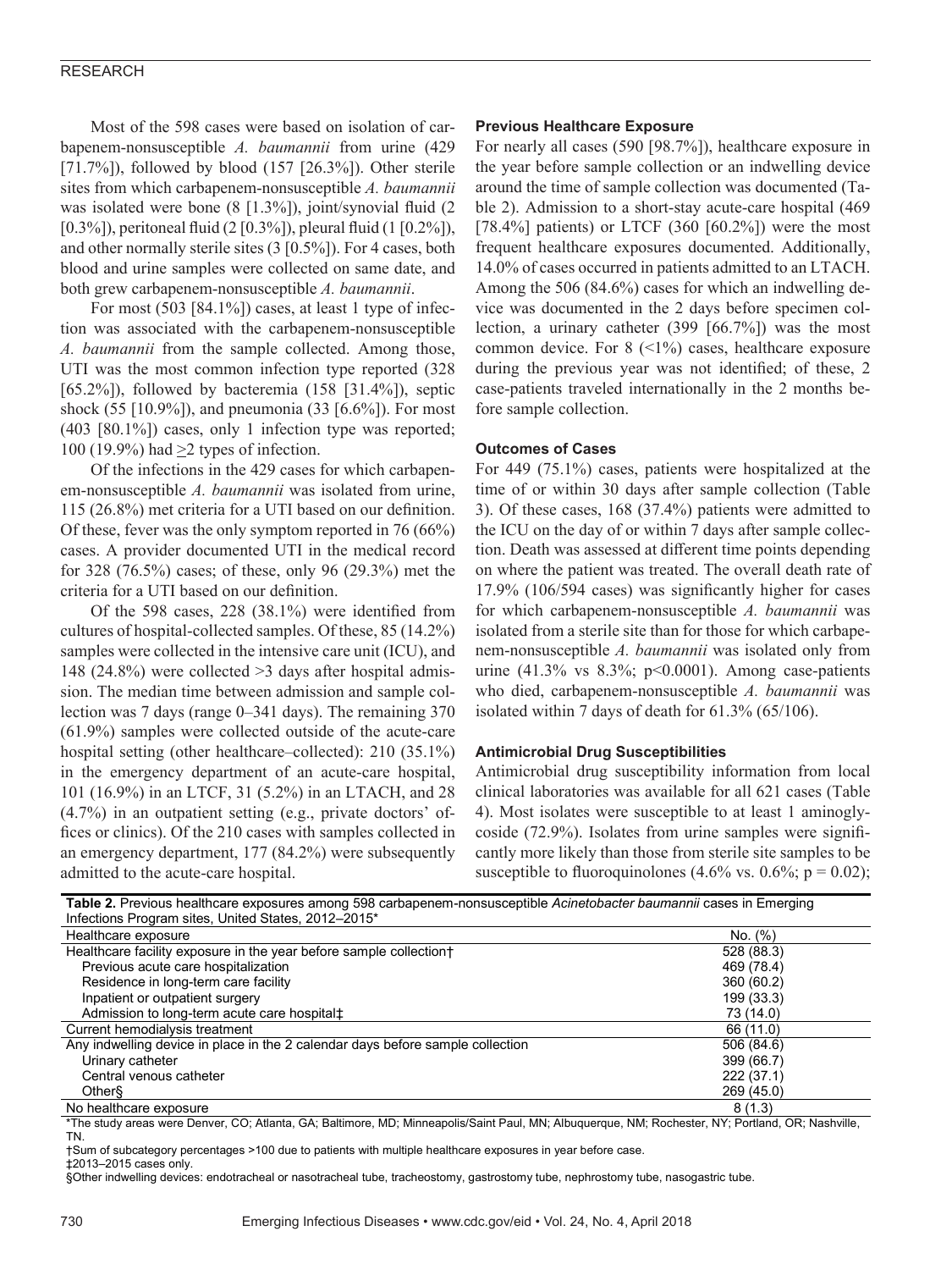Most of the 598 cases were based on isolation of carbapenem-nonsusceptible *A. baumannii* from urine (429 [71.7%]), followed by blood  $(157 [26.3\%])$ . Other sterile sites from which carbapenem-nonsusceptible *A. baumannii* was isolated were bone (8 [1.3%]), joint/synovial fluid (2 [0.3%]), peritoneal fluid (2 [0.3%]), pleural fluid (1 [0.2%]), and other normally sterile sites (3 [0.5%]). For 4 cases, both blood and urine samples were collected on same date, and both grew carbapenem-nonsusceptible *A. baumannii*.

For most  $(503 \mid 84.1\%)$  cases, at least 1 type of infection was associated with the carbapenem-nonsusceptible *A. baumannii* from the sample collected. Among those, UTI was the most common infection type reported (328 [65.2%]), followed by bacteremia  $(158$  [31.4%]), septic shock (55 [10.9%]), and pneumonia (33 [6.6%]). For most (403 [80.1%]) cases, only 1 infection type was reported; 100 (19.9%) had >2 types of infection.

Of the infections in the 429 cases for which carbapenem-nonsusceptible *A. baumannii* was isolated from urine, 115 (26.8%) met criteria for a UTI based on our definition. Of these, fever was the only symptom reported in 76 (66%) cases. A provider documented UTI in the medical record for 328 (76.5%) cases; of these, only 96 (29.3%) met the criteria for a UTI based on our definition.

Of the 598 cases, 228 (38.1%) were identified from cultures of hospital-collected samples. Of these, 85 (14.2%) samples were collected in the intensive care unit (ICU), and 148 (24.8%) were collected >3 days after hospital admission. The median time between admission and sample collection was 7 days (range 0–341 days). The remaining 370 (61.9%) samples were collected outside of the acute-care hospital setting (other healthcare–collected): 210 (35.1%) in the emergency department of an acute-care hospital, 101 (16.9%) in an LTCF, 31 (5.2%) in an LTACH, and 28 (4.7%) in an outpatient setting (e.g., private doctors' offices or clinics). Of the 210 cases with samples collected in an emergency department, 177 (84.2%) were subsequently admitted to the acute-care hospital.

#### **Previous Healthcare Exposure**

For nearly all cases (590 [98.7%]), healthcare exposure in the year before sample collection or an indwelling device around the time of sample collection was documented (Table 2). Admission to a short-stay acute-care hospital (469 [78.4%] patients) or LTCF  $(360 \, [60.2\%])$  were the most frequent healthcare exposures documented. Additionally, 14.0% of cases occurred in patients admitted to an LTACH. Among the 506 (84.6%) cases for which an indwelling device was documented in the 2 days before specimen collection, a urinary catheter (399 [66.7%]) was the most common device. For  $8$  (<1%) cases, healthcare exposure during the previous year was not identified; of these, 2 case-patients traveled internationally in the 2 months before sample collection.

#### **Outcomes of Cases**

For 449 (75.1%) cases, patients were hospitalized at the time of or within 30 days after sample collection (Table 3). Of these cases, 168 (37.4%) patients were admitted to the ICU on the day of or within 7 days after sample collection. Death was assessed at different time points depending on where the patient was treated. The overall death rate of 17.9% (106/594 cases) was significantly higher for cases for which carbapenem-nonsusceptible *A. baumannii* was isolated from a sterile site than for those for which carbapenem-nonsusceptible *A. baumannii* was isolated only from urine  $(41.3\%$  vs  $8.3\%$ ; p<0.0001). Among case-patients who died, carbapenem-nonsusceptible *A. baumannii* was isolated within 7 days of death for 61.3% (65/106).

#### **Antimicrobial Drug Susceptibilities**

Antimicrobial drug susceptibility information from local clinical laboratories was available for all 621 cases (Table 4). Most isolates were susceptible to at least 1 aminoglycoside (72.9%). Isolates from urine samples were significantly more likely than those from sterile site samples to be susceptible to fluoroquinolones  $(4.6\% \text{ vs. } 0.6\%; \text{ p} = 0.02);$ 

| Table 2. Previous healthcare exposures among 598 carbapenem-nonsusceptible Acinetobacter baumannii cases in Emerging |            |  |  |  |  |
|----------------------------------------------------------------------------------------------------------------------|------------|--|--|--|--|
| Infections Program sites, United States, 2012-2015*                                                                  |            |  |  |  |  |
| Healthcare exposure                                                                                                  | No. (%)    |  |  |  |  |
| Healthcare facility exposure in the year before sample collectiont                                                   | 528 (88.3) |  |  |  |  |
| Previous acute care hospitalization                                                                                  | 469 (78.4) |  |  |  |  |
| Residence in long-term care facility                                                                                 | 360 (60.2) |  |  |  |  |
| Inpatient or outpatient surgery                                                                                      | 199 (33.3) |  |  |  |  |
| Admission to long-term acute care hospital#                                                                          | 73 (14.0)  |  |  |  |  |
| Current hemodialysis treatment                                                                                       | 66 (11.0)  |  |  |  |  |
| Any indwelling device in place in the 2 calendar days before sample collection                                       | 506 (84.6) |  |  |  |  |
| Urinary catheter                                                                                                     | 399 (66.7) |  |  |  |  |
| Central venous catheter                                                                                              | 222(37.1)  |  |  |  |  |
| Other                                                                                                                | 269 (45.0) |  |  |  |  |
| No healthcare exposure                                                                                               | 8(1.3)     |  |  |  |  |

\*The study areas were Denver, CO; Atlanta, GA; Baltimore, MD; Minneapolis/Saint Paul, MN; Albuquerque, NM; Rochester, NY; Portland, OR; Nashville, TN.

†Sum of subcategory percentages >100 due to patients with multiple healthcare exposures in year before case. ‡2013–2015 cases only.

§Other indwelling devices: endotracheal or nasotracheal tube, tracheostomy, gastrostomy tube, nephrostomy tube, nasogastric tube.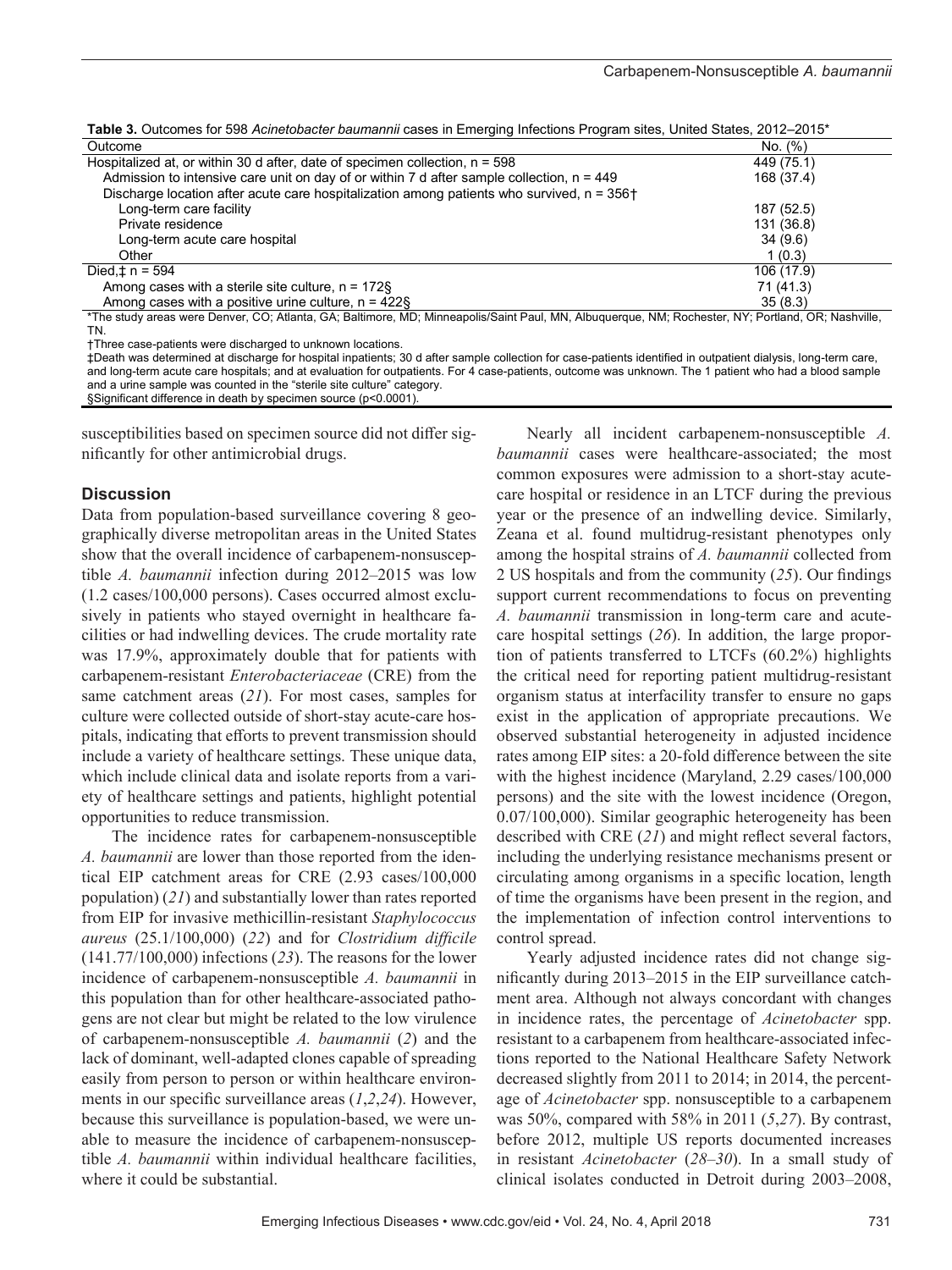| <b>Table 3.</b> Outcomes for 598 <i>Acinetobacter baumannii</i> cases in Emerging Infections Program sites, United States, 2012–2015*        |            |  |  |  |  |
|----------------------------------------------------------------------------------------------------------------------------------------------|------------|--|--|--|--|
| Outcome                                                                                                                                      | No. (%)    |  |  |  |  |
| Hospitalized at, or within 30 d after, date of specimen collection, $n = 598$                                                                | 449 (75.1) |  |  |  |  |
| Admission to intensive care unit on day of or within 7 d after sample collection, $n = 449$                                                  | 168 (37.4) |  |  |  |  |
| Discharge location after acute care hospitalization among patients who survived, $n = 356 +$                                                 |            |  |  |  |  |
| Long-term care facility                                                                                                                      | 187 (52.5) |  |  |  |  |
| Private residence                                                                                                                            | 131 (36.8) |  |  |  |  |
| Long-term acute care hospital                                                                                                                | 34(9.6)    |  |  |  |  |
| Other                                                                                                                                        | 1(0.3)     |  |  |  |  |
| Died, $\pm$ n = 594                                                                                                                          | 106 (17.9) |  |  |  |  |
| Among cases with a sterile site culture, $n = 172$ §                                                                                         | 71 (41.3)  |  |  |  |  |
| Among cases with a positive urine culture, $n = 422$ §                                                                                       | 35(8.3)    |  |  |  |  |
| *The study areas were Denver CO: Atlanta GA: Baltimore MD: Minneanolis/Saint Paul, MN, Albuquerque NM: Rochester NY: Portland, OR: Nashville |            |  |  |  |  |

**Table 3.** Outcomes for 598 *Acinetobacter baumannii* cases in Emerging Infections Program sites, United States, 2012–2015\*

\*The study areas were Denver, CO; Atlanta, GA; Baltimore, MD; Minneapolis/Saint Paul, MN, Albuquerque, NM; Rochester, NY; Portland, OR; Nashville, TN.

†Three case-patients were discharged to unknown locations.

‡Death was determined at discharge for hospital inpatients; 30 d after sample collection for case-patients identified in outpatient dialysis, long-term care, and long-term acute care hospitals; and at evaluation for outpatients. For 4 case-patients, outcome was unknown. The 1 patient who had a blood sample and a urine sample was counted in the "sterile site culture" category. §Significant difference in death by specimen source (p<0.0001).

susceptibilities based on specimen source did not differ significantly for other antimicrobial drugs.

# **Discussion**

Data from population-based surveillance covering 8 geographically diverse metropolitan areas in the United States show that the overall incidence of carbapenem-nonsusceptible *A. baumannii* infection during 2012–2015 was low (1.2 cases/100,000 persons). Cases occurred almost exclusively in patients who stayed overnight in healthcare facilities or had indwelling devices. The crude mortality rate was 17.9%, approximately double that for patients with carbapenem-resistant *Enterobacteriaceae* (CRE) from the same catchment areas (*21*). For most cases, samples for culture were collected outside of short-stay acute-care hospitals, indicating that efforts to prevent transmission should include a variety of healthcare settings. These unique data, which include clinical data and isolate reports from a variety of healthcare settings and patients, highlight potential opportunities to reduce transmission.

The incidence rates for carbapenem-nonsusceptible *A. baumannii* are lower than those reported from the identical EIP catchment areas for CRE (2.93 cases/100,000 population) (*21*) and substantially lower than rates reported from EIP for invasive methicillin-resistant *Staphylococcus aureus* (25.1/100,000) (*22*) and for *Clostridium difficile* (141.77/100,000) infections (*23*). The reasons for the lower incidence of carbapenem-nonsusceptible *A. baumannii* in this population than for other healthcare-associated pathogens are not clear but might be related to the low virulence of carbapenem-nonsusceptible *A. baumannii* (*2*) and the lack of dominant, well-adapted clones capable of spreading easily from person to person or within healthcare environments in our specific surveillance areas (*1*,*2*,*24*). However, because this surveillance is population-based, we were unable to measure the incidence of carbapenem-nonsusceptible *A. baumannii* within individual healthcare facilities, where it could be substantial.

Nearly all incident carbapenem-nonsusceptible *A. baumannii* cases were healthcare-associated; the most common exposures were admission to a short-stay acutecare hospital or residence in an LTCF during the previous year or the presence of an indwelling device. Similarly, Zeana et al. found multidrug-resistant phenotypes only among the hospital strains of *A. baumannii* collected from 2 US hospitals and from the community (*25*). Our findings support current recommendations to focus on preventing *A. baumannii* transmission in long-term care and acutecare hospital settings (*26*). In addition, the large proportion of patients transferred to LTCFs (60.2%) highlights the critical need for reporting patient multidrug-resistant organism status at interfacility transfer to ensure no gaps exist in the application of appropriate precautions. We observed substantial heterogeneity in adjusted incidence rates among EIP sites: a 20-fold difference between the site with the highest incidence (Maryland, 2.29 cases/100,000 persons) and the site with the lowest incidence (Oregon, 0.07/100,000). Similar geographic heterogeneity has been described with CRE (*21*) and might reflect several factors, including the underlying resistance mechanisms present or circulating among organisms in a specific location, length of time the organisms have been present in the region, and the implementation of infection control interventions to control spread.

Yearly adjusted incidence rates did not change significantly during 2013–2015 in the EIP surveillance catchment area. Although not always concordant with changes in incidence rates, the percentage of *Acinetobacter* spp. resistant to a carbapenem from healthcare-associated infections reported to the National Healthcare Safety Network decreased slightly from 2011 to 2014; in 2014, the percentage of *Acinetobacter* spp. nonsusceptible to a carbapenem was 50%, compared with 58% in 2011 (*5*,*27*). By contrast, before 2012, multiple US reports documented increases in resistant *Acinetobacter* (*28*–*30*). In a small study of clinical isolates conducted in Detroit during 2003–2008,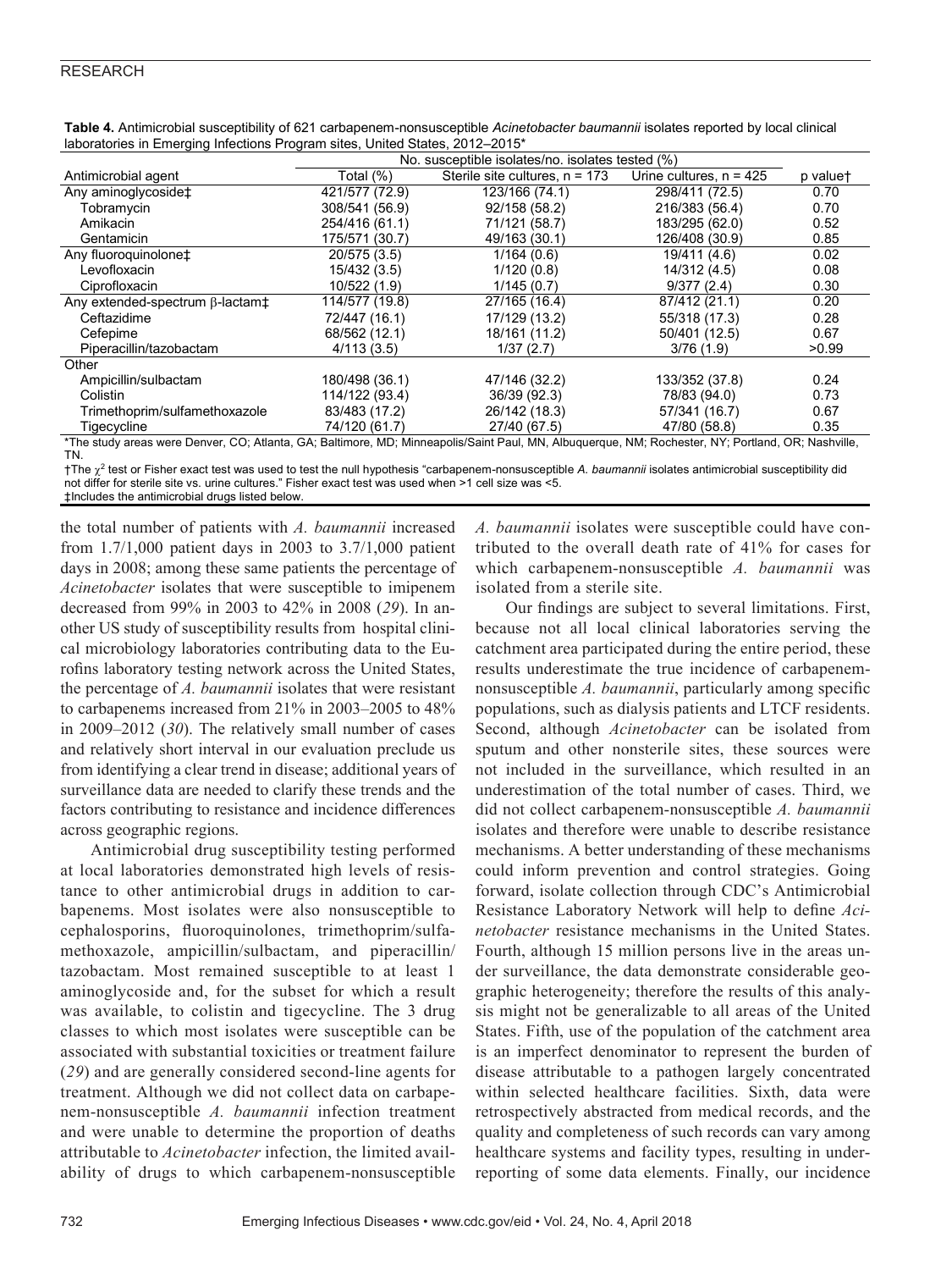| atonoo ni Eniorghig mioonono i rogram onooj ormoa otatooj Eo iE                                                                                    |                                                  |                                  |                           |          |  |  |  |
|----------------------------------------------------------------------------------------------------------------------------------------------------|--------------------------------------------------|----------------------------------|---------------------------|----------|--|--|--|
|                                                                                                                                                    | No. susceptible isolates/no. isolates tested (%) |                                  |                           |          |  |  |  |
| Antimicrobial agent                                                                                                                                | Total (%)                                        | Sterile site cultures, $n = 173$ | Urine cultures, $n = 425$ | p valuet |  |  |  |
| Any aminoglycoside <sup>+</sup>                                                                                                                    | 421/577 (72.9)                                   | 123/166 (74.1)                   | 298/411 (72.5)            | 0.70     |  |  |  |
| Tobramycin                                                                                                                                         | 308/541 (56.9)                                   | 92/158 (58.2)                    | 216/383 (56.4)            | 0.70     |  |  |  |
| Amikacin                                                                                                                                           | 254/416 (61.1)                                   | 71/121 (58.7)                    | 183/295 (62.0)            | 0.52     |  |  |  |
| Gentamicin                                                                                                                                         | 175/571 (30.7)                                   | 49/163 (30.1)                    | 126/408 (30.9)            | 0.85     |  |  |  |
| Any fluoroquinolone <sup>+</sup>                                                                                                                   | 20/575 (3.5)                                     | 1/164(0.6)                       | 19/411 (4.6)              | 0.02     |  |  |  |
| Levofloxacin                                                                                                                                       | 15/432 (3.5)                                     | 1/120(0.8)                       | 14/312 (4.5)              | 0.08     |  |  |  |
| Ciprofloxacin                                                                                                                                      | 10/522 (1.9)                                     | 1/145(0.7)                       | 9/377(2.4)                | 0.30     |  |  |  |
| Any extended-spectrum B-lactam <sup>+</sup>                                                                                                        | 114/577 (19.8)                                   | 27/165 (16.4)                    | 87/412 (21.1)             | 0.20     |  |  |  |
| Ceftazidime                                                                                                                                        | 72/447 (16.1)                                    | 17/129 (13.2)                    | 55/318 (17.3)             | 0.28     |  |  |  |
| Cefepime                                                                                                                                           | 68/562 (12.1)                                    | 18/161 (11.2)                    | 50/401 (12.5)             | 0.67     |  |  |  |
| Piperacillin/tazobactam                                                                                                                            | 4/113(3.5)                                       | 1/37(2.7)                        | 3/76(1.9)                 | >0.99    |  |  |  |
| Other                                                                                                                                              |                                                  |                                  |                           |          |  |  |  |
| Ampicillin/sulbactam                                                                                                                               | 180/498 (36.1)                                   | 47/146 (32.2)                    | 133/352 (37.8)            | 0.24     |  |  |  |
| Colistin                                                                                                                                           | 114/122 (93.4)                                   | 36/39 (92.3)                     | 78/83 (94.0)              | 0.73     |  |  |  |
| Trimethoprim/sulfamethoxazole                                                                                                                      | 83/483 (17.2)                                    | 26/142 (18.3)                    | 57/341 (16.7)             | 0.67     |  |  |  |
| Tigecycline                                                                                                                                        | 74/120 (61.7)                                    | 27/40 (67.5)                     | 47/80 (58.8)              | 0.35     |  |  |  |
| *The study areas were Denver, CO; Atlanta, GA; Baltimore, MD; Minneapolis/Saint Paul, MN, Albuquerque, NM; Rochester, NY; Portland, OR; Nashville, |                                                  |                                  |                           |          |  |  |  |

**Table 4.** Antimicrobial susceptibility of 621 carbapenem-nonsusceptible *Acinetobacter baumannii* isolates reported by local clinical laboratories in Emerging Infections Program sites, United States, 2012–2015\*

TN. †The <sup>2</sup> test or Fisher exact test was used to test the null hypothesis "carbapenem-nonsusceptible *A. baumannii* isolates antimicrobial susceptibility did

not differ for sterile site vs. urine cultures." Fisher exact test was used when >1 cell size was <5. ‡Includes the antimicrobial drugs listed below.

the total number of patients with *A. baumannii* increased from 1.7/1,000 patient days in 2003 to 3.7/1,000 patient days in 2008; among these same patients the percentage of *Acinetobacter* isolates that were susceptible to imipenem decreased from 99% in 2003 to 42% in 2008 (*29*). In another US study of susceptibility results from hospital clinical microbiology laboratories contributing data to the Eurofins laboratory testing network across the United States, the percentage of *A. baumannii* isolates that were resistant to carbapenems increased from 21% in 2003–2005 to 48% in 2009–2012 (*30*). The relatively small number of cases and relatively short interval in our evaluation preclude us from identifying a clear trend in disease; additional years of surveillance data are needed to clarify these trends and the factors contributing to resistance and incidence differences across geographic regions.

Antimicrobial drug susceptibility testing performed at local laboratories demonstrated high levels of resistance to other antimicrobial drugs in addition to carbapenems. Most isolates were also nonsusceptible to cephalosporins, fluoroquinolones, trimethoprim/sulfamethoxazole, ampicillin/sulbactam, and piperacillin/ tazobactam. Most remained susceptible to at least 1 aminoglycoside and, for the subset for which a result was available, to colistin and tigecycline. The 3 drug classes to which most isolates were susceptible can be associated with substantial toxicities or treatment failure (*29*) and are generally considered second-line agents for treatment. Although we did not collect data on carbapenem-nonsusceptible *A. baumannii* infection treatment and were unable to determine the proportion of deaths attributable to *Acinetobacter* infection, the limited availability of drugs to which carbapenem-nonsusceptible

*A. baumannii* isolates were susceptible could have contributed to the overall death rate of 41% for cases for which carbapenem-nonsusceptible *A. baumannii* was isolated from a sterile site.

Our findings are subject to several limitations. First, because not all local clinical laboratories serving the catchment area participated during the entire period, these results underestimate the true incidence of carbapenemnonsusceptible *A. baumannii*, particularly among specific populations, such as dialysis patients and LTCF residents. Second, although *Acinetobacter* can be isolated from sputum and other nonsterile sites, these sources were not included in the surveillance, which resulted in an underestimation of the total number of cases. Third, we did not collect carbapenem-nonsusceptible *A. baumannii* isolates and therefore were unable to describe resistance mechanisms. A better understanding of these mechanisms could inform prevention and control strategies. Going forward, isolate collection through CDC's Antimicrobial Resistance Laboratory Network will help to define *Acinetobacter* resistance mechanisms in the United States. Fourth, although 15 million persons live in the areas under surveillance, the data demonstrate considerable geographic heterogeneity; therefore the results of this analysis might not be generalizable to all areas of the United States. Fifth, use of the population of the catchment area is an imperfect denominator to represent the burden of disease attributable to a pathogen largely concentrated within selected healthcare facilities. Sixth, data were retrospectively abstracted from medical records, and the quality and completeness of such records can vary among healthcare systems and facility types, resulting in underreporting of some data elements. Finally, our incidence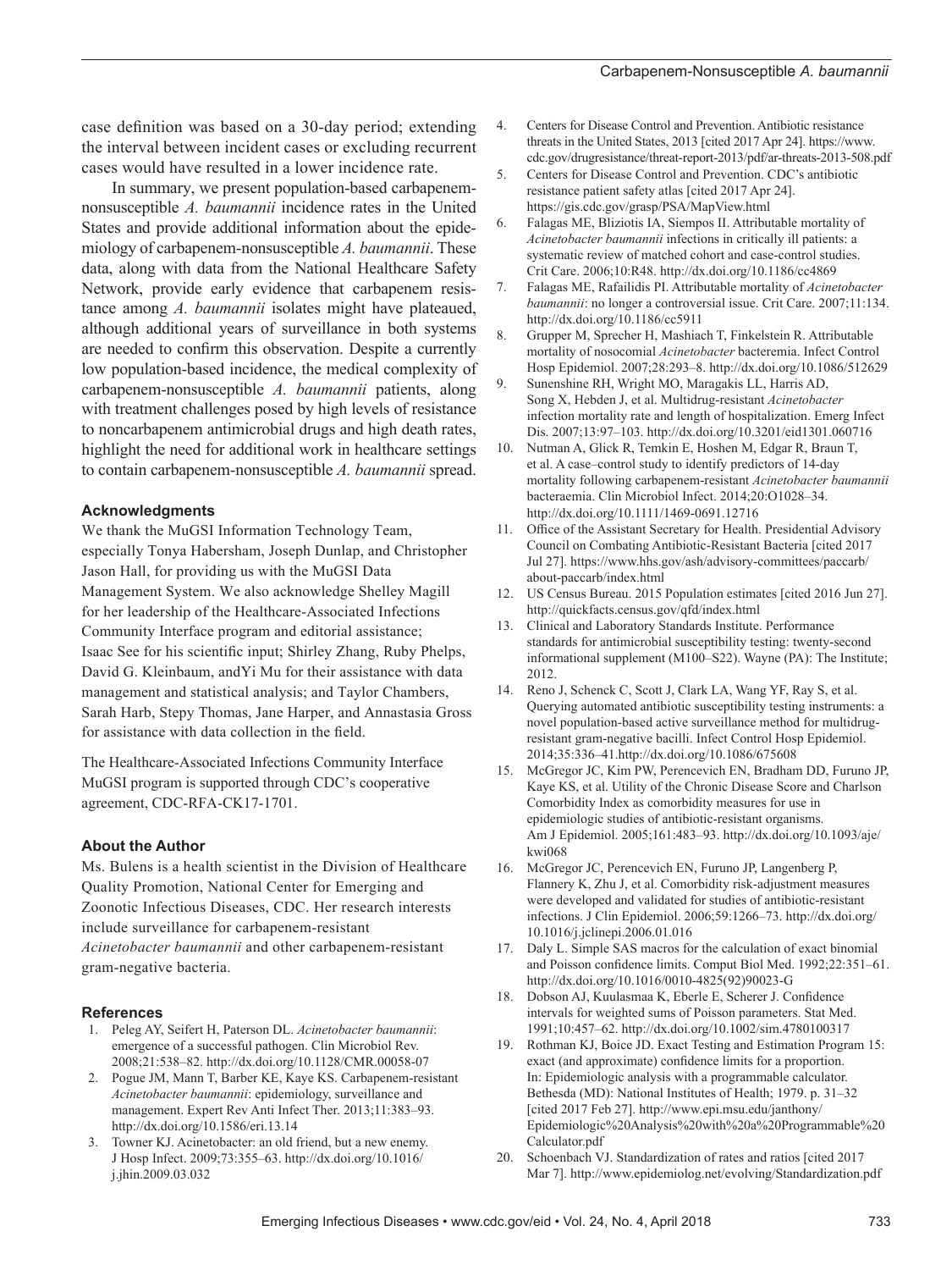case definition was based on a 30-day period; extending the interval between incident cases or excluding recurrent cases would have resulted in a lower incidence rate.

In summary, we present population-based carbapenemnonsusceptible *A. baumannii* incidence rates in the United States and provide additional information about the epidemiology of carbapenem-nonsusceptible *A. baumannii*. These data, along with data from the National Healthcare Safety Network, provide early evidence that carbapenem resistance among *A. baumannii* isolates might have plateaued, although additional years of surveillance in both systems are needed to confirm this observation. Despite a currently low population-based incidence, the medical complexity of carbapenem-nonsusceptible *A. baumannii* patients, along with treatment challenges posed by high levels of resistance to noncarbapenem antimicrobial drugs and high death rates, highlight the need for additional work in healthcare settings to contain carbapenem-nonsusceptible *A. baumannii* spread.

#### **Acknowledgments**

We thank the MuGSI Information Technology Team, especially Tonya Habersham, Joseph Dunlap, and Christopher Jason Hall, for providing us with the MuGSI Data Management System. We also acknowledge Shelley Magill for her leadership of the Healthcare-Associated Infections Community Interface program and editorial assistance; Isaac See for his scientific input; Shirley Zhang, Ruby Phelps, David G. Kleinbaum, andYi Mu for their assistance with data management and statistical analysis; and Taylor Chambers, Sarah Harb, Stepy Thomas, Jane Harper, and Annastasia Gross for assistance with data collection in the field.

The Healthcare-Associated Infections Community Interface MuGSI program is supported through CDC's cooperative agreement, CDC-RFA-CK17-1701.

#### **About the Author**

Ms. Bulens is a health scientist in the Division of Healthcare Quality Promotion, National Center for Emerging and Zoonotic Infectious Diseases, CDC. Her research interests include surveillance for carbapenem-resistant *Acinetobacter baumannii* and other carbapenem-resistant gram-negative bacteria.

#### **References**

- 1. Peleg AY, Seifert H, Paterson DL. *Acinetobacter baumannii*: emergence of a successful pathogen. Clin Microbiol Rev. 2008;21:538–82. http://dx.doi.org/10.1128/CMR.00058-07
- 2. Pogue JM, Mann T, Barber KE, Kaye KS. Carbapenem-resistant *Acinetobacter baumannii*: epidemiology, surveillance and management. Expert Rev Anti Infect Ther. 2013;11:383–93. http://dx.doi.org/10.1586/eri.13.14
- 3. Towner KJ. Acinetobacter: an old friend, but a new enemy. J Hosp Infect. 2009;73:355–63. http://dx.doi.org/10.1016/ j.jhin.2009.03.032
- 4. Centers for Disease Control and Prevention. Antibiotic resistance threats in the United States, 2013 [cited 2017 Apr 24]. https://www. cdc.gov/drugresistance/threat-report-2013/pdf/ar-threats-2013-508.pdf
- 5. Centers for Disease Control and Prevention. CDC's antibiotic resistance patient safety atlas [cited 2017 Apr 24]. https://gis.cdc.gov/grasp/PSA/MapView.html
- 6. Falagas ME, Bliziotis IA, Siempos II. Attributable mortality of *Acinetobacter baumannii* infections in critically ill patients: a systematic review of matched cohort and case-control studies. Crit Care. 2006;10:R48. http://dx.doi.org/10.1186/cc4869
- 7. Falagas ME, Rafailidis PI. Attributable mortality of *Acinetobacter baumannii*: no longer a controversial issue. Crit Care. 2007;11:134. http://dx.doi.org/10.1186/cc5911
- 8. Grupper M, Sprecher H, Mashiach T, Finkelstein R. Attributable mortality of nosocomial *Acinetobacter* bacteremia. Infect Control Hosp Epidemiol. 2007;28:293–8. http://dx.doi.org/10.1086/512629
- 9. Sunenshine RH, Wright MO, Maragakis LL, Harris AD, Song X, Hebden J, et al. Multidrug-resistant *Acinetobacter* infection mortality rate and length of hospitalization. Emerg Infect Dis. 2007;13:97–103. http://dx.doi.org/10.3201/eid1301.060716
- 10. Nutman A, Glick R, Temkin E, Hoshen M, Edgar R, Braun T, et al. A case–control study to identify predictors of 14-day mortality following carbapenem-resistant *Acinetobacter baumannii* bacteraemia. Clin Microbiol Infect. 2014;20:O1028–34. http://dx.doi.org/10.1111/1469-0691.12716
- 11. Office of the Assistant Secretary for Health. Presidential Advisory Council on Combating Antibiotic-Resistant Bacteria [cited 2017 Jul 27]. https://www.hhs.gov/ash/advisory-committees/paccarb/ about-paccarb/index.html
- 12. US Census Bureau. 2015 Population estimates [cited 2016 Jun 27]. http://quickfacts.census.gov/qfd/index.html
- 13. Clinical and Laboratory Standards Institute. Performance standards for antimicrobial susceptibility testing: twenty-second informational supplement (M100–S22). Wayne (PA): The Institute; 2012.
- 14. Reno J, Schenck C, Scott J, Clark LA, Wang YF, Ray S, et al. Querying automated antibiotic susceptibility testing instruments: a novel population-based active surveillance method for multidrugresistant gram-negative bacilli. Infect Control Hosp Epidemiol. 2014;35:336–41.http://dx.doi.org/10.1086/675608
- 15. McGregor JC, Kim PW, Perencevich EN, Bradham DD, Furuno JP, Kaye KS, et al. Utility of the Chronic Disease Score and Charlson Comorbidity Index as comorbidity measures for use in epidemiologic studies of antibiotic-resistant organisms. Am J Epidemiol. 2005;161:483–93. http://dx.doi.org/10.1093/aje/ kwi068
- 16. McGregor JC, Perencevich EN, Furuno JP, Langenberg P, Flannery K, Zhu J, et al. Comorbidity risk-adjustment measures were developed and validated for studies of antibiotic-resistant infections. J Clin Epidemiol. 2006;59:1266–73. http://dx.doi.org/ 10.1016/j.jclinepi.2006.01.016
- 17. Daly L. Simple SAS macros for the calculation of exact binomial and Poisson confidence limits. Comput Biol Med. 1992;22:351–61. http://dx.doi.org/10.1016/0010-4825(92)90023-G
- 18. Dobson AJ, Kuulasmaa K, Eberle E, Scherer J. Confidence intervals for weighted sums of Poisson parameters. Stat Med. 1991;10:457–62. http://dx.doi.org/10.1002/sim.4780100317
- 19. Rothman KJ, Boice JD. Exact Testing and Estimation Program 15: exact (and approximate) confidence limits for a proportion. In: Epidemiologic analysis with a programmable calculator. Bethesda (MD): National Institutes of Health; 1979. p. 31–32 [cited 2017 Feb 27]. http://www.epi.msu.edu/janthony/ Epidemiologic%20Analysis%20with%20a%20Programmable%20 Calculator.pdf
- 20. Schoenbach VJ. Standardization of rates and ratios [cited 2017 Mar 7]. http://www.epidemiolog.net/evolving/Standardization.pdf